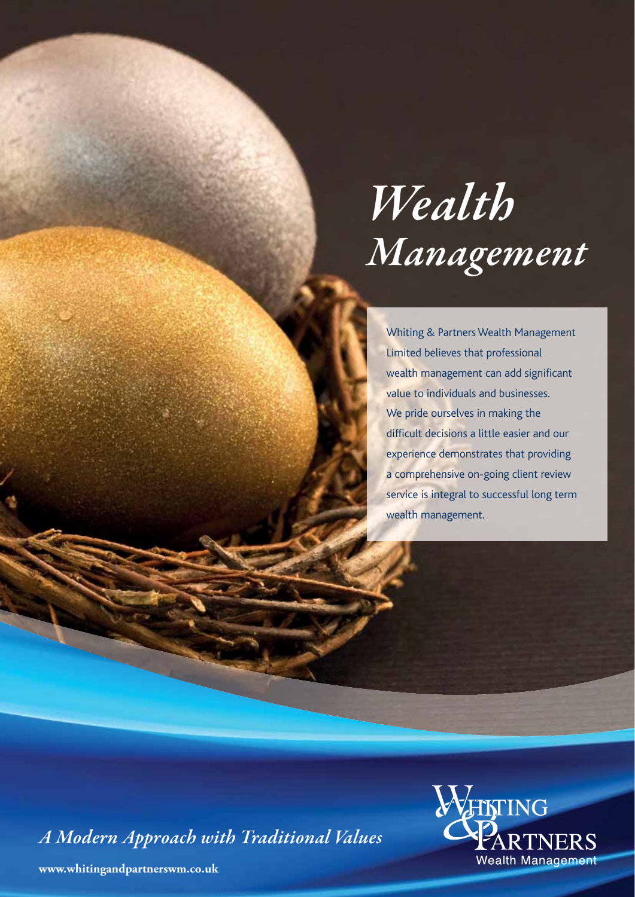# *Wealth Management*

Whiting & Partners Wealth Management Limited believes that professional wealth management can add significant value to individuals and businesses. We pride ourselves in making the difficult decisions a little easier and our experience demonstrates that providing a comprehensive on-going client review service is integral to successful long term wealth management.

*A Modern Approach with Traditional Values*



**www.whitingandpartnerswm.co.uk**